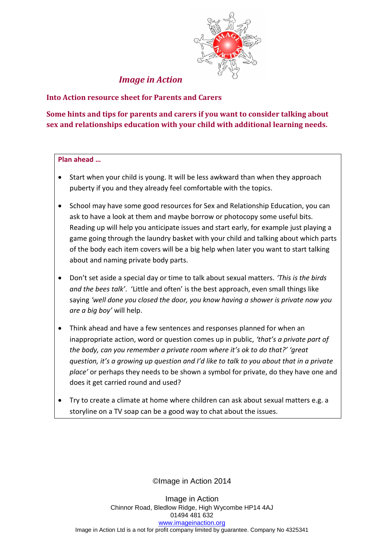

*Image in Action*

# **Into Action resource sheet for Parents and Carers**

# **Some hints and tips for parents and carers if you want to consider talking about sex and relationships education with your child with additional learning needs.**

#### **Plan ahead …**

- Start when your child is young. It will be less awkward than when they approach puberty if you and they already feel comfortable with the topics.
- School may have some good resources for Sex and Relationship Education, you can ask to have a look at them and maybe borrow or photocopy some useful bits. Reading up will help you anticipate issues and start early, for example just playing a game going through the laundry basket with your child and talking about which parts of the body each item covers will be a big help when later you want to start talking about and naming private body parts.
- Don't set aside a special day or time to talk about sexual matters. *'This is the birds and the bees talk'*. 'Little and often' is the best approach, even small things like saying *'well done you closed the door, you know having a shower is private now you are a big boy'* will help.
- Think ahead and have a few sentences and responses planned for when an inappropriate action, word or question comes up in public, *'that's a private part of the body, can you remember a private room where it's ok to do that?' 'great question, it's a growing up question and I'd like to talk to you about that in a private place'* or perhaps they needs to be shown a symbol for private, do they have one and does it get carried round and used?
- Try to create a climate at home where children can ask about sexual matters e.g. a storyline on a TV soap can be a good way to chat about the issues.

©Image in Action 2014